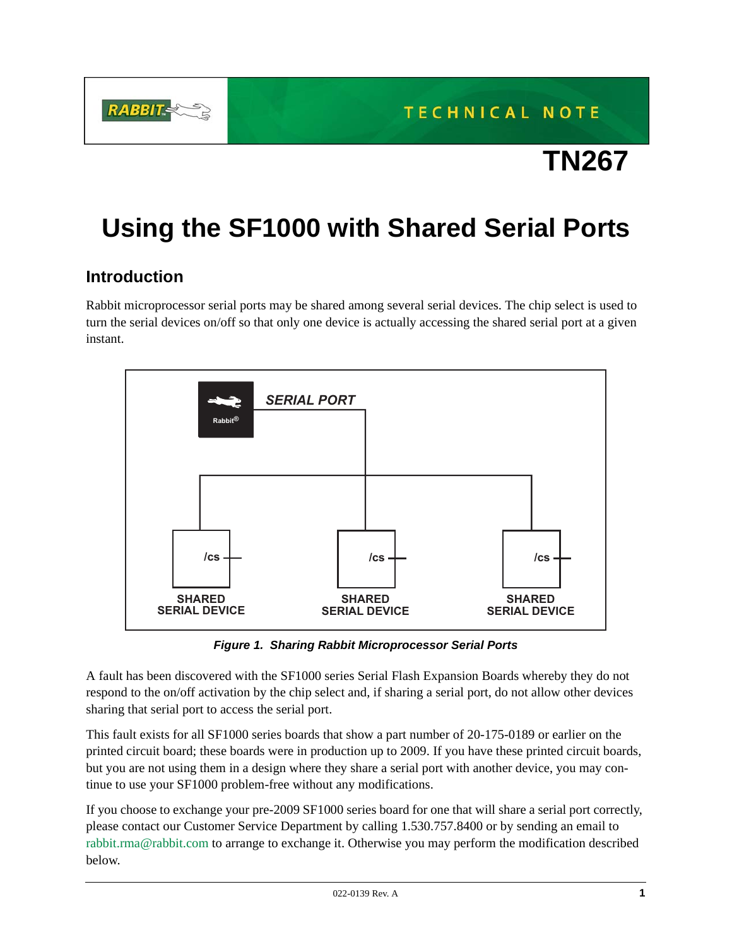

# **TN267**

## **Using the SF1000 with Shared Serial Ports**

#### **Introduction**

Rabbit microprocessor serial ports may be shared among several serial devices. The chip select is used to turn the serial devices on/off so that only one device is actually accessing the shared serial port at a given instant.



*Figure 1. Sharing Rabbit Microprocessor Serial Ports*

A fault has been discovered with the SF1000 series Serial Flash Expansion Boards whereby they do not respond to the on/off activation by the chip select and, if sharing a serial port, do not allow other devices sharing that serial port to access the serial port.

This fault exists for all SF1000 series boards that show a part number of 20-175-0189 or earlier on the printed circuit board; these boards were in production up to 2009. If you have these printed circuit boards, but you are not using them in a design where they share a serial port with another device, you may continue to use your SF1000 problem-free without any modifications.

If you choose to exchange your pre-2009 SF1000 series board for one that will share a serial port correctly, please contact our Customer Service Department by calling 1.530.757.8400 or by sending an email to rabbit.rma@rabbit.com to arrange to exchange it. Otherwise you may perform the modification described below.